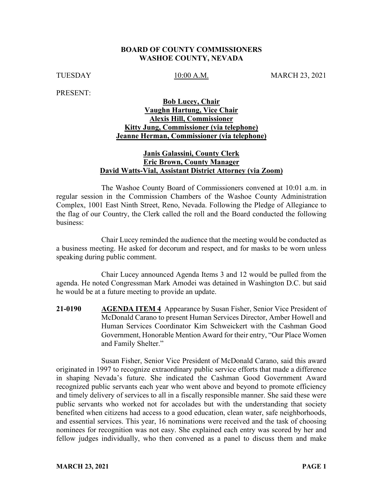#### **BOARD OF COUNTY COMMISSIONERS WASHOE COUNTY, NEVADA**

TUESDAY 10:00 A.M. MARCH 23, 2021

PRESENT:

## **Bob Lucey, Chair Vaughn Hartung, Vice Chair Alexis Hill, Commissioner Kitty Jung, Commissioner (via telephone) Jeanne Herman, Commissioner (via telephone)**

## **Janis Galassini, County Clerk Eric Brown, County Manager David Watts-Vial, Assistant District Attorney (via Zoom)**

The Washoe County Board of Commissioners convened at 10:01 a.m. in regular session in the Commission Chambers of the Washoe County Administration Complex, 1001 East Ninth Street, Reno, Nevada. Following the Pledge of Allegiance to the flag of our Country, the Clerk called the roll and the Board conducted the following business:

Chair Lucey reminded the audience that the meeting would be conducted as a business meeting. He asked for decorum and respect, and for masks to be worn unless speaking during public comment.

Chair Lucey announced Agenda Items 3 and 12 would be pulled from the agenda. He noted Congressman Mark Amodei was detained in Washington D.C. but said he would be at a future meeting to provide an update.

**21-0190 AGENDA ITEM 4** Appearance by Susan Fisher, Senior Vice President of McDonald Carano to present Human Services Director, Amber Howell and Human Services Coordinator Kim Schweickert with the Cashman Good Government, Honorable Mention Award for their entry, "Our Place Women and Family Shelter."

Susan Fisher, Senior Vice President of McDonald Carano, said this award originated in 1997 to recognize extraordinary public service efforts that made a difference in shaping Nevada's future. She indicated the Cashman Good Government Award recognized public servants each year who went above and beyond to promote efficiency and timely delivery of services to all in a fiscally responsible manner. She said these were public servants who worked not for accolades but with the understanding that society benefited when citizens had access to a good education, clean water, safe neighborhoods, and essential services. This year, 16 nominations were received and the task of choosing nominees for recognition was not easy. She explained each entry was scored by her and fellow judges individually, who then convened as a panel to discuss them and make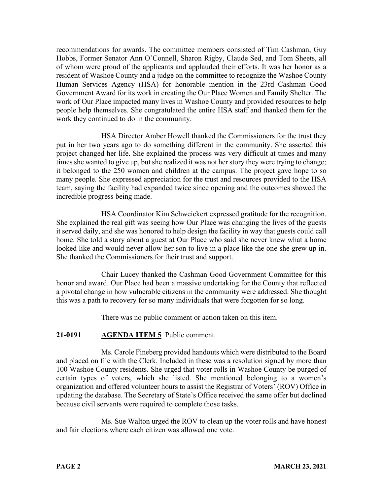recommendations for awards. The committee members consisted of Tim Cashman, Guy Hobbs, Former Senator Ann O'Connell, Sharon Rigby, Claude Sed, and Tom Sheets, all of whom were proud of the applicants and applauded their efforts. It was her honor as a resident of Washoe County and a judge on the committee to recognize the Washoe County Human Services Agency (HSA) for honorable mention in the 23rd Cashman Good Government Award for its work in creating the Our Place Women and Family Shelter. The work of Our Place impacted many lives in Washoe County and provided resources to help people help themselves. She congratulated the entire HSA staff and thanked them for the work they continued to do in the community.

HSA Director Amber Howell thanked the Commissioners for the trust they put in her two years ago to do something different in the community. She asserted this project changed her life. She explained the process was very difficult at times and many times she wanted to give up, but she realized it was not her story they were trying to change; it belonged to the 250 women and children at the campus. The project gave hope to so many people. She expressed appreciation for the trust and resources provided to the HSA team, saying the facility had expanded twice since opening and the outcomes showed the incredible progress being made.

HSA Coordinator Kim Schweickert expressed gratitude for the recognition. She explained the real gift was seeing how Our Place was changing the lives of the guests it served daily, and she was honored to help design the facility in way that guests could call home. She told a story about a guest at Our Place who said she never knew what a home looked like and would never allow her son to live in a place like the one she grew up in. She thanked the Commissioners for their trust and support.

Chair Lucey thanked the Cashman Good Government Committee for this honor and award. Our Place had been a massive undertaking for the County that reflected a pivotal change in how vulnerable citizens in the community were addressed. She thought this was a path to recovery for so many individuals that were forgotten for so long.

There was no public comment or action taken on this item.

# **21-0191 AGENDA ITEM 5** Public comment.

Ms. Carole Fineberg provided handouts which were distributed to the Board and placed on file with the Clerk. Included in these was a resolution signed by more than 100 Washoe County residents. She urged that voter rolls in Washoe County be purged of certain types of voters, which she listed. She mentioned belonging to a women's organization and offered volunteer hours to assist the Registrar of Voters' (ROV) Office in updating the database. The Secretary of State's Office received the same offer but declined because civil servants were required to complete those tasks.

Ms. Sue Walton urged the ROV to clean up the voter rolls and have honest and fair elections where each citizen was allowed one vote.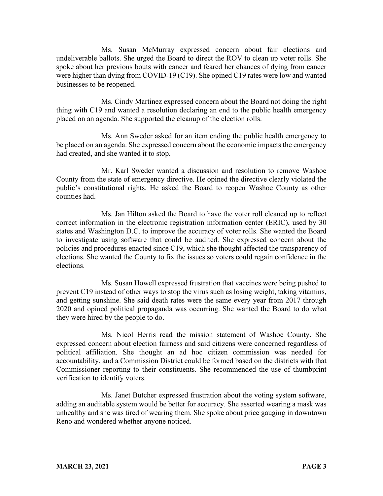Ms. Susan McMurray expressed concern about fair elections and undeliverable ballots. She urged the Board to direct the ROV to clean up voter rolls. She spoke about her previous bouts with cancer and feared her chances of dying from cancer were higher than dying from COVID-19 (C19). She opined C19 rates were low and wanted businesses to be reopened.

Ms. Cindy Martinez expressed concern about the Board not doing the right thing with C19 and wanted a resolution declaring an end to the public health emergency placed on an agenda. She supported the cleanup of the election rolls.

Ms. Ann Sweder asked for an item ending the public health emergency to be placed on an agenda. She expressed concern about the economic impacts the emergency had created, and she wanted it to stop.

Mr. Karl Sweder wanted a discussion and resolution to remove Washoe County from the state of emergency directive. He opined the directive clearly violated the public's constitutional rights. He asked the Board to reopen Washoe County as other counties had.

Ms. Jan Hilton asked the Board to have the voter roll cleaned up to reflect correct information in the electronic registration information center (ERIC), used by 30 states and Washington D.C. to improve the accuracy of voter rolls. She wanted the Board to investigate using software that could be audited. She expressed concern about the policies and procedures enacted since C19, which she thought affected the transparency of elections. She wanted the County to fix the issues so voters could regain confidence in the elections.

Ms. Susan Howell expressed frustration that vaccines were being pushed to prevent C19 instead of other ways to stop the virus such as losing weight, taking vitamins, and getting sunshine. She said death rates were the same every year from 2017 through 2020 and opined political propaganda was occurring. She wanted the Board to do what they were hired by the people to do.

Ms. Nicol Herris read the mission statement of Washoe County. She expressed concern about election fairness and said citizens were concerned regardless of political affiliation. She thought an ad hoc citizen commission was needed for accountability, and a Commission District could be formed based on the districts with that Commissioner reporting to their constituents. She recommended the use of thumbprint verification to identify voters.

Ms. Janet Butcher expressed frustration about the voting system software, adding an auditable system would be better for accuracy. She asserted wearing a mask was unhealthy and she was tired of wearing them. She spoke about price gauging in downtown Reno and wondered whether anyone noticed.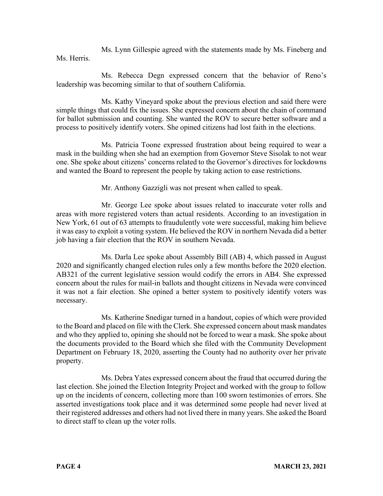Ms. Lynn Gillespie agreed with the statements made by Ms. Fineberg and Ms. Herris.

Ms. Rebecca Degn expressed concern that the behavior of Reno's leadership was becoming similar to that of southern California.

Ms. Kathy Vineyard spoke about the previous election and said there were simple things that could fix the issues. She expressed concern about the chain of command for ballot submission and counting. She wanted the ROV to secure better software and a process to positively identify voters. She opined citizens had lost faith in the elections.

Ms. Patricia Toone expressed frustration about being required to wear a mask in the building when she had an exemption from Governor Steve Sisolak to not wear one. She spoke about citizens' concerns related to the Governor's directives for lockdowns and wanted the Board to represent the people by taking action to ease restrictions.

Mr. Anthony Gazzigli was not present when called to speak.

Mr. George Lee spoke about issues related to inaccurate voter rolls and areas with more registered voters than actual residents. According to an investigation in New York, 61 out of 63 attempts to fraudulently vote were successful, making him believe it was easy to exploit a voting system. He believed the ROV in northern Nevada did a better job having a fair election that the ROV in southern Nevada.

Ms. Darla Lee spoke about Assembly Bill (AB) 4, which passed in August 2020 and significantly changed election rules only a few months before the 2020 election. AB321 of the current legislative session would codify the errors in AB4. She expressed concern about the rules for mail-in ballots and thought citizens in Nevada were convinced it was not a fair election. She opined a better system to positively identify voters was necessary.

Ms. Katherine Snedigar turned in a handout, copies of which were provided to the Board and placed on file with the Clerk. She expressed concern about mask mandates and who they applied to, opining she should not be forced to wear a mask. She spoke about the documents provided to the Board which she filed with the Community Development Department on February 18, 2020, asserting the County had no authority over her private property.

Ms. Debra Yates expressed concern about the fraud that occurred during the last election. She joined the Election Integrity Project and worked with the group to follow up on the incidents of concern, collecting more than 100 sworn testimonies of errors. She asserted investigations took place and it was determined some people had never lived at their registered addresses and others had not lived there in many years. She asked the Board to direct staff to clean up the voter rolls.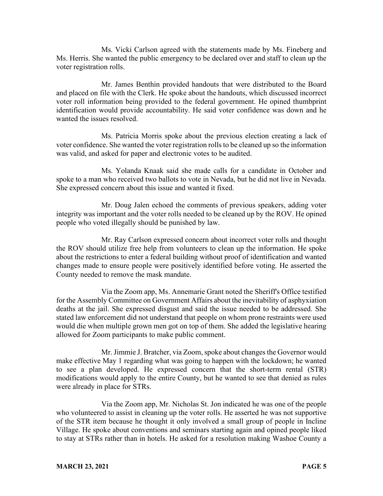Ms. Vicki Carlson agreed with the statements made by Ms. Fineberg and Ms. Herris. She wanted the public emergency to be declared over and staff to clean up the voter registration rolls.

Mr. James Benthin provided handouts that were distributed to the Board and placed on file with the Clerk. He spoke about the handouts, which discussed incorrect voter roll information being provided to the federal government. He opined thumbprint identification would provide accountability. He said voter confidence was down and he wanted the issues resolved.

Ms. Patricia Morris spoke about the previous election creating a lack of voter confidence. She wanted the voter registration rolls to be cleaned up so the information was valid, and asked for paper and electronic votes to be audited.

Ms. Yolanda Knaak said she made calls for a candidate in October and spoke to a man who received two ballots to vote in Nevada, but he did not live in Nevada. She expressed concern about this issue and wanted it fixed.

Mr. Doug Jalen echoed the comments of previous speakers, adding voter integrity was important and the voter rolls needed to be cleaned up by the ROV. He opined people who voted illegally should be punished by law.

Mr. Ray Carlson expressed concern about incorrect voter rolls and thought the ROV should utilize free help from volunteers to clean up the information. He spoke about the restrictions to enter a federal building without proof of identification and wanted changes made to ensure people were positively identified before voting. He asserted the County needed to remove the mask mandate.

Via the Zoom app, Ms. Annemarie Grant noted the Sheriff's Office testified for the Assembly Committee on Government Affairs about the inevitability of asphyxiation deaths at the jail. She expressed disgust and said the issue needed to be addressed. She stated law enforcement did not understand that people on whom prone restraints were used would die when multiple grown men got on top of them. She added the legislative hearing allowed for Zoom participants to make public comment.

Mr. Jimmie J. Bratcher, via Zoom, spoke about changes the Governor would make effective May 1 regarding what was going to happen with the lockdown; he wanted to see a plan developed. He expressed concern that the short-term rental (STR) modifications would apply to the entire County, but he wanted to see that denied as rules were already in place for STRs.

Via the Zoom app, Mr. Nicholas St. Jon indicated he was one of the people who volunteered to assist in cleaning up the voter rolls. He asserted he was not supportive of the STR item because he thought it only involved a small group of people in Incline Village. He spoke about conventions and seminars starting again and opined people liked to stay at STRs rather than in hotels. He asked for a resolution making Washoe County a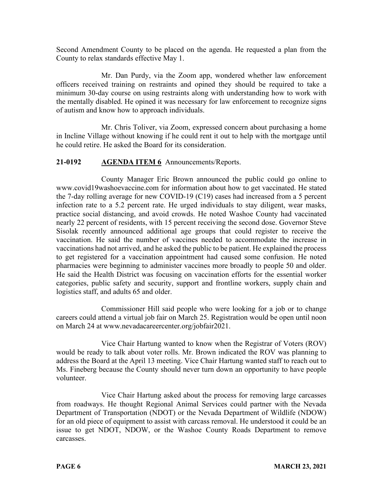Second Amendment County to be placed on the agenda. He requested a plan from the County to relax standards effective May 1.

Mr. Dan Purdy, via the Zoom app, wondered whether law enforcement officers received training on restraints and opined they should be required to take a minimum 30-day course on using restraints along with understanding how to work with the mentally disabled. He opined it was necessary for law enforcement to recognize signs of autism and know how to approach individuals.

Mr. Chris Toliver, via Zoom, expressed concern about purchasing a home in Incline Village without knowing if he could rent it out to help with the mortgage until he could retire. He asked the Board for its consideration.

# **21-0192 AGENDA ITEM 6** Announcements/Reports.

County Manager Eric Brown announced the public could go online to www.covid19washoevaccine.com for information about how to get vaccinated. He stated the 7-day rolling average for new COVID-19 (C19) cases had increased from a 5 percent infection rate to a 5.2 percent rate. He urged individuals to stay diligent, wear masks, practice social distancing, and avoid crowds. He noted Washoe County had vaccinated nearly 22 percent of residents, with 15 percent receiving the second dose. Governor Steve Sisolak recently announced additional age groups that could register to receive the vaccination. He said the number of vaccines needed to accommodate the increase in vaccinations had not arrived, and he asked the public to be patient. He explained the process to get registered for a vaccination appointment had caused some confusion. He noted pharmacies were beginning to administer vaccines more broadly to people 50 and older. He said the Health District was focusing on vaccination efforts for the essential worker categories, public safety and security, support and frontline workers, supply chain and logistics staff, and adults 65 and older.

Commissioner Hill said people who were looking for a job or to change careers could attend a virtual job fair on March 25. Registration would be open until noon on March 24 at www.nevadacareercenter.org/jobfair2021.

Vice Chair Hartung wanted to know when the Registrar of Voters (ROV) would be ready to talk about voter rolls. Mr. Brown indicated the ROV was planning to address the Board at the April 13 meeting. Vice Chair Hartung wanted staff to reach out to Ms. Fineberg because the County should never turn down an opportunity to have people volunteer.

Vice Chair Hartung asked about the process for removing large carcasses from roadways. He thought Regional Animal Services could partner with the Nevada Department of Transportation (NDOT) or the Nevada Department of Wildlife (NDOW) for an old piece of equipment to assist with carcass removal. He understood it could be an issue to get NDOT, NDOW, or the Washoe County Roads Department to remove carcasses.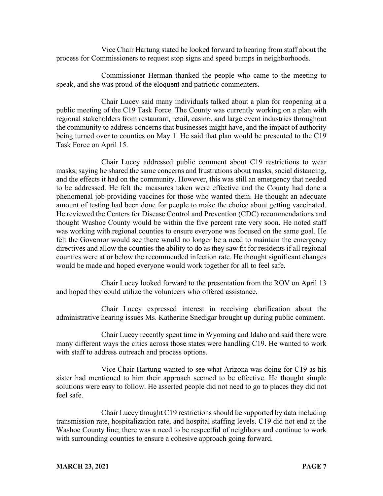Vice Chair Hartung stated he looked forward to hearing from staff about the process for Commissioners to request stop signs and speed bumps in neighborhoods.

Commissioner Herman thanked the people who came to the meeting to speak, and she was proud of the eloquent and patriotic commenters.

Chair Lucey said many individuals talked about a plan for reopening at a public meeting of the C19 Task Force. The County was currently working on a plan with regional stakeholders from restaurant, retail, casino, and large event industries throughout the community to address concerns that businesses might have, and the impact of authority being turned over to counties on May 1. He said that plan would be presented to the C19 Task Force on April 15.

Chair Lucey addressed public comment about C19 restrictions to wear masks, saying he shared the same concerns and frustrations about masks, social distancing, and the effects it had on the community. However, this was still an emergency that needed to be addressed. He felt the measures taken were effective and the County had done a phenomenal job providing vaccines for those who wanted them. He thought an adequate amount of testing had been done for people to make the choice about getting vaccinated. He reviewed the Centers for Disease Control and Prevention (CDC) recommendations and thought Washoe County would be within the five percent rate very soon. He noted staff was working with regional counties to ensure everyone was focused on the same goal. He felt the Governor would see there would no longer be a need to maintain the emergency directives and allow the counties the ability to do as they saw fit for residents if all regional counties were at or below the recommended infection rate. He thought significant changes would be made and hoped everyone would work together for all to feel safe.

Chair Lucey looked forward to the presentation from the ROV on April 13 and hoped they could utilize the volunteers who offered assistance.

Chair Lucey expressed interest in receiving clarification about the administrative hearing issues Ms. Katherine Snedigar brought up during public comment.

Chair Lucey recently spent time in Wyoming and Idaho and said there were many different ways the cities across those states were handling C19. He wanted to work with staff to address outreach and process options.

Vice Chair Hartung wanted to see what Arizona was doing for C19 as his sister had mentioned to him their approach seemed to be effective. He thought simple solutions were easy to follow. He asserted people did not need to go to places they did not feel safe.

Chair Lucey thought C19 restrictions should be supported by data including transmission rate, hospitalization rate, and hospital staffing levels. C19 did not end at the Washoe County line; there was a need to be respectful of neighbors and continue to work with surrounding counties to ensure a cohesive approach going forward.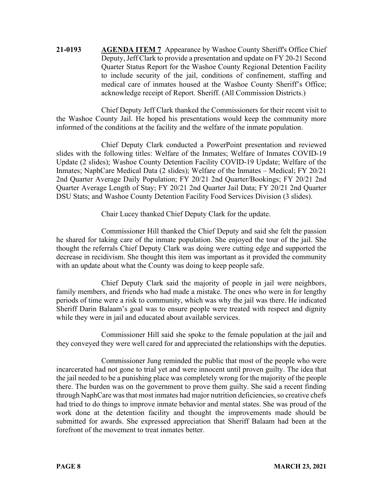**21-0193 AGENDA ITEM 7** Appearance by Washoe County Sheriff's Office Chief Deputy, Jeff Clark to provide a presentation and update on FY 20-21 Second Quarter Status Report for the Washoe County Regional Detention Facility to include security of the jail, conditions of confinement, staffing and medical care of inmates housed at the Washoe County Sheriff's Office; acknowledge receipt of Report. Sheriff. (All Commission Districts.)

Chief Deputy Jeff Clark thanked the Commissioners for their recent visit to the Washoe County Jail. He hoped his presentations would keep the community more informed of the conditions at the facility and the welfare of the inmate population.

Chief Deputy Clark conducted a PowerPoint presentation and reviewed slides with the following titles: Welfare of the Inmates; Welfare of Inmates COVID-19 Update (2 slides); Washoe County Detention Facility COVID-19 Update; Welfare of the Inmates; NaphCare Medical Data (2 slides); Welfare of the Inmates – Medical; FY 20/21 2nd Quarter Average Daily Population; FY 20/21 2nd Quarter/Bookings; FY 20/21 2nd Quarter Average Length of Stay; FY 20/21 2nd Quarter Jail Data; FY 20/21 2nd Quarter DSU Stats; and Washoe County Detention Facility Food Services Division (3 slides).

Chair Lucey thanked Chief Deputy Clark for the update.

Commissioner Hill thanked the Chief Deputy and said she felt the passion he shared for taking care of the inmate population. She enjoyed the tour of the jail. She thought the referrals Chief Deputy Clark was doing were cutting edge and supported the decrease in recidivism. She thought this item was important as it provided the community with an update about what the County was doing to keep people safe.

Chief Deputy Clark said the majority of people in jail were neighbors, family members, and friends who had made a mistake. The ones who were in for lengthy periods of time were a risk to community, which was why the jail was there. He indicated Sheriff Darin Balaam's goal was to ensure people were treated with respect and dignity while they were in jail and educated about available services.

Commissioner Hill said she spoke to the female population at the jail and they conveyed they were well cared for and appreciated the relationships with the deputies.

Commissioner Jung reminded the public that most of the people who were incarcerated had not gone to trial yet and were innocent until proven guilty. The idea that the jail needed to be a punishing place was completely wrong for the majority of the people there. The burden was on the government to prove them guilty. She said a recent finding through NaphCare was that most inmates had major nutrition deficiencies, so creative chefs had tried to do things to improve inmate behavior and mental states. She was proud of the work done at the detention facility and thought the improvements made should be submitted for awards. She expressed appreciation that Sheriff Balaam had been at the forefront of the movement to treat inmates better.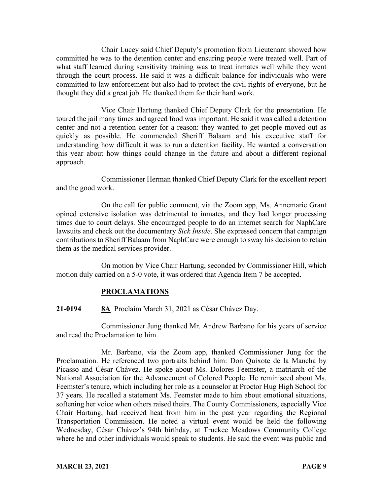Chair Lucey said Chief Deputy's promotion from Lieutenant showed how committed he was to the detention center and ensuring people were treated well. Part of what staff learned during sensitivity training was to treat inmates well while they went through the court process. He said it was a difficult balance for individuals who were committed to law enforcement but also had to protect the civil rights of everyone, but he thought they did a great job. He thanked them for their hard work.

Vice Chair Hartung thanked Chief Deputy Clark for the presentation. He toured the jail many times and agreed food was important. He said it was called a detention center and not a retention center for a reason: they wanted to get people moved out as quickly as possible. He commended Sheriff Balaam and his executive staff for understanding how difficult it was to run a detention facility. He wanted a conversation this year about how things could change in the future and about a different regional approach.

Commissioner Herman thanked Chief Deputy Clark for the excellent report and the good work.

On the call for public comment, via the Zoom app, Ms. Annemarie Grant opined extensive isolation was detrimental to inmates, and they had longer processing times due to court delays. She encouraged people to do an internet search for NaphCare lawsuits and check out the documentary *Sick Inside*. She expressed concern that campaign contributions to Sheriff Balaam from NaphCare were enough to sway his decision to retain them as the medical services provider.

On motion by Vice Chair Hartung, seconded by Commissioner Hill, which motion duly carried on a 5-0 vote, it was ordered that Agenda Item 7 be accepted.

# **PROCLAMATIONS**

**21-0194 8A** Proclaim March 31, 2021 as César Chávez Day.

Commissioner Jung thanked Mr. Andrew Barbano for his years of service and read the Proclamation to him.

Mr. Barbano, via the Zoom app, thanked Commissioner Jung for the Proclamation. He referenced two portraits behind him: Don Quixote de la Mancha by Picasso and César Chávez. He spoke about Ms. Dolores Feemster, a matriarch of the National Association for the Advancement of Colored People. He reminisced about Ms. Feemster's tenure, which including her role as a counselor at Proctor Hug High School for 37 years. He recalled a statement Ms. Feemster made to him about emotional situations, softening her voice when others raised theirs. The County Commissioners, especially Vice Chair Hartung, had received heat from him in the past year regarding the Regional Transportation Commission. He noted a virtual event would be held the following Wednesday, César Chávez's 94th birthday, at Truckee Meadows Community College where he and other individuals would speak to students. He said the event was public and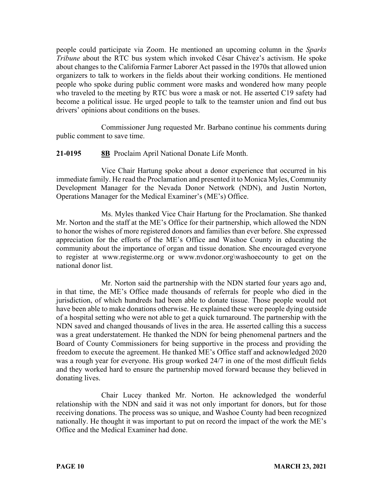people could participate via Zoom. He mentioned an upcoming column in the *Sparks Tribune* about the RTC bus system which invoked César Chávez's activism. He spoke about changes to the California Farmer Laborer Act passed in the 1970s that allowed union organizers to talk to workers in the fields about their working conditions. He mentioned people who spoke during public comment wore masks and wondered how many people who traveled to the meeting by RTC bus wore a mask or not. He asserted C19 safety had become a political issue. He urged people to talk to the teamster union and find out bus drivers' opinions about conditions on the buses.

Commissioner Jung requested Mr. Barbano continue his comments during public comment to save time.

## **21-0195 8B** Proclaim April National Donate Life Month.

Vice Chair Hartung spoke about a donor experience that occurred in his immediate family. He read the Proclamation and presented it to Monica Myles, Community Development Manager for the Nevada Donor Network (NDN), and Justin Norton, Operations Manager for the Medical Examiner's (ME's) Office.

Ms. Myles thanked Vice Chair Hartung for the Proclamation. She thanked Mr. Norton and the staff at the ME's Office for their partnership, which allowed the NDN to honor the wishes of more registered donors and families than ever before. She expressed appreciation for the efforts of the ME's Office and Washoe County in educating the community about the importance of organ and tissue donation. She encouraged everyone to register at www.registerme.org or www.nvdonor.org\washoecounty to get on the national donor list.

Mr. Norton said the partnership with the NDN started four years ago and, in that time, the ME's Office made thousands of referrals for people who died in the jurisdiction, of which hundreds had been able to donate tissue. Those people would not have been able to make donations otherwise. He explained these were people dying outside of a hospital setting who were not able to get a quick turnaround. The partnership with the NDN saved and changed thousands of lives in the area. He asserted calling this a success was a great understatement. He thanked the NDN for being phenomenal partners and the Board of County Commissioners for being supportive in the process and providing the freedom to execute the agreement. He thanked ME's Office staff and acknowledged 2020 was a rough year for everyone. His group worked 24/7 in one of the most difficult fields and they worked hard to ensure the partnership moved forward because they believed in donating lives.

Chair Lucey thanked Mr. Norton. He acknowledged the wonderful relationship with the NDN and said it was not only important for donors, but for those receiving donations. The process was so unique, and Washoe County had been recognized nationally. He thought it was important to put on record the impact of the work the ME's Office and the Medical Examiner had done.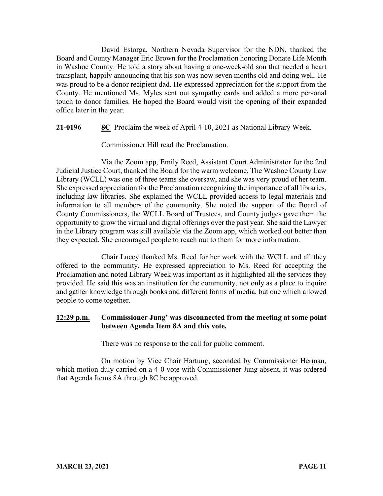David Estorga, Northern Nevada Supervisor for the NDN, thanked the Board and County Manager Eric Brown for the Proclamation honoring Donate Life Month in Washoe County. He told a story about having a one-week-old son that needed a heart transplant, happily announcing that his son was now seven months old and doing well. He was proud to be a donor recipient dad. He expressed appreciation for the support from the County. He mentioned Ms. Myles sent out sympathy cards and added a more personal touch to donor families. He hoped the Board would visit the opening of their expanded office later in the year.

**21-0196 8C** Proclaim the week of April 4-10, 2021 as National Library Week.

Commissioner Hill read the Proclamation.

Via the Zoom app, Emily Reed, Assistant Court Administrator for the 2nd Judicial Justice Court, thanked the Board for the warm welcome. The Washoe County Law Library (WCLL) was one of three teams she oversaw, and she was very proud of her team. She expressed appreciation for the Proclamation recognizing the importance of all libraries, including law libraries. She explained the WCLL provided access to legal materials and information to all members of the community. She noted the support of the Board of County Commissioners, the WCLL Board of Trustees, and County judges gave them the opportunity to grow the virtual and digital offerings over the past year. She said the Lawyer in the Library program was still available via the Zoom app, which worked out better than they expected. She encouraged people to reach out to them for more information.

Chair Lucey thanked Ms. Reed for her work with the WCLL and all they offered to the community. He expressed appreciation to Ms. Reed for accepting the Proclamation and noted Library Week was important as it highlighted all the services they provided. He said this was an institution for the community, not only as a place to inquire and gather knowledge through books and different forms of media, but one which allowed people to come together.

# **12:29 p.m. Commissioner Jung' was disconnected from the meeting at some point between Agenda Item 8A and this vote.**

There was no response to the call for public comment.

On motion by Vice Chair Hartung, seconded by Commissioner Herman, which motion duly carried on a 4-0 vote with Commissioner Jung absent, it was ordered that Agenda Items 8A through 8C be approved.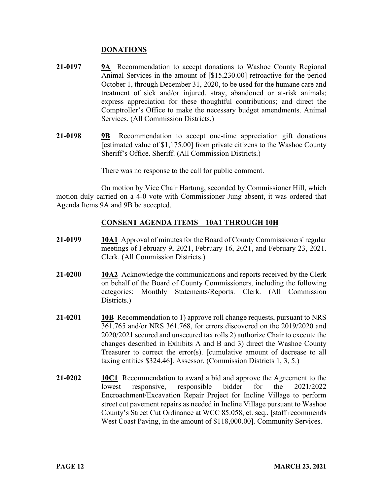## **DONATIONS**

- **21-0197 9A** Recommendation to accept donations to Washoe County Regional Animal Services in the amount of [\$15,230.00] retroactive for the period October 1, through December 31, 2020, to be used for the humane care and treatment of sick and/or injured, stray, abandoned or at-risk animals; express appreciation for these thoughtful contributions; and direct the Comptroller's Office to make the necessary budget amendments. Animal Services. (All Commission Districts.)
- **21-0198 9B** Recommendation to accept one-time appreciation gift donations [estimated value of \$1,175.00] from private citizens to the Washoe County Sheriff's Office. Sheriff. (All Commission Districts.)

There was no response to the call for public comment.

On motion by Vice Chair Hartung, seconded by Commissioner Hill, which motion duly carried on a 4-0 vote with Commissioner Jung absent, it was ordered that Agenda Items 9A and 9B be accepted.

## **CONSENT AGENDA ITEMS** – **10A1 THROUGH 10H**

- **21-0199 10A1** Approval of minutes for the Board of County Commissioners' regular meetings of February 9, 2021, February 16, 2021, and February 23, 2021. Clerk. (All Commission Districts.)
- **21-0200 10A2** Acknowledge the communications and reports received by the Clerk on behalf of the Board of County Commissioners, including the following categories: Monthly Statements/Reports. Clerk. (All Commission Districts.)
- **21-0201 10B** Recommendation to 1) approve roll change requests, pursuant to NRS 361.765 and/or NRS 361.768, for errors discovered on the 2019/2020 and 2020/2021 secured and unsecured tax rolls 2) authorize Chair to execute the changes described in Exhibits A and B and 3) direct the Washoe County Treasurer to correct the error(s). [cumulative amount of decrease to all taxing entities \$324.46]. Assessor. (Commission Districts 1, 3, 5.)
- **21-0202 10C1** Recommendation to award a bid and approve the Agreement to the lowest responsive, responsible bidder for the 2021/2022 Encroachment/Excavation Repair Project for Incline Village to perform street cut pavement repairs as needed in Incline Village pursuant to Washoe County's Street Cut Ordinance at WCC 85.058, et. seq., [staff recommends West Coast Paving, in the amount of \$118,000.00]. Community Services.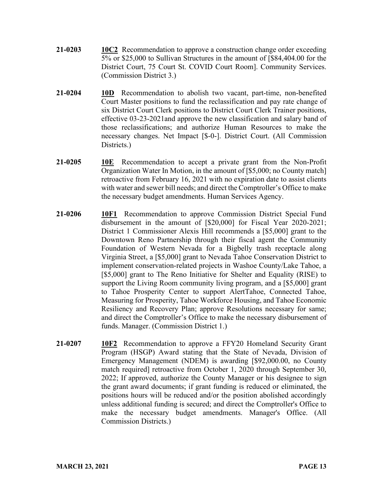- **21-0203 10C2** Recommendation to approve a construction change order exceeding 5% or \$25,000 to Sullivan Structures in the amount of [\$84,404.00 for the District Court, 75 Court St. COVID Court Room]. Community Services. (Commission District 3.)
- **21-0204 10D** Recommendation to abolish two vacant, part-time, non-benefited Court Master positions to fund the reclassification and pay rate change of six District Court Clerk positions to District Court Clerk Trainer positions, effective 03-23-2021and approve the new classification and salary band of those reclassifications; and authorize Human Resources to make the necessary changes. Net Impact [\$-0-]. District Court. (All Commission Districts.)
- **21-0205 10E** Recommendation to accept a private grant from the Non-Profit Organization Water In Motion, in the amount of [\$5,000; no County match] retroactive from February 16, 2021 with no expiration date to assist clients with water and sewer bill needs; and direct the Comptroller's Office to make the necessary budget amendments. Human Services Agency.
- **21-0206 10F1** Recommendation to approve Commission District Special Fund disbursement in the amount of [\$20,000] for Fiscal Year 2020-2021; District 1 Commissioner Alexis Hill recommends a [\$5,000] grant to the Downtown Reno Partnership through their fiscal agent the Community Foundation of Western Nevada for a Bigbelly trash receptacle along Virginia Street, a [\$5,000] grant to Nevada Tahoe Conservation District to implement conservation-related projects in Washoe County/Lake Tahoe, a [\$5,000] grant to The Reno Initiative for Shelter and Equality (RISE) to support the Living Room community living program, and a [\$5,000] grant to Tahoe Prosperity Center to support AlertTahoe, Connected Tahoe, Measuring for Prosperity, Tahoe Workforce Housing, and Tahoe Economic Resiliency and Recovery Plan; approve Resolutions necessary for same; and direct the Comptroller's Office to make the necessary disbursement of funds. Manager. (Commission District 1.)
- **21-0207 10F2** Recommendation to approve a FFY20 Homeland Security Grant Program (HSGP) Award stating that the State of Nevada, Division of Emergency Management (NDEM) is awarding [\$92,000.00, no County match required] retroactive from October 1, 2020 through September 30, 2022; If approved, authorize the County Manager or his designee to sign the grant award documents; if grant funding is reduced or eliminated, the positions hours will be reduced and/or the position abolished accordingly unless additional funding is secured; and direct the Comptroller's Office to make the necessary budget amendments. Manager's Office. (All Commission Districts.)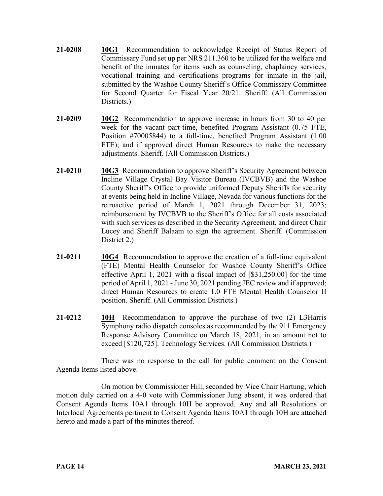- **21-0208 10G1** Recommendation to acknowledge Receipt of Status Report of Commissary Fund set up per NRS 211.360 to be utilized for the welfare and benefit of the inmates for items such as counseling, chaplaincy services, vocational training and certifications programs for inmate in the jail, submitted by the Washoe County Sheriff's Office Commissary Committee for Second Quarter for Fiscal Year 20/21. Sheriff. (All Commission Districts.)
- **21-0209 10G2** Recommendation to approve increase in hours from 30 to 40 per week for the vacant part-time, benefited Program Assistant (0.75 FTE, Position #70005844) to a full-time, benefited Program Assistant (1.00 FTE); and if approved direct Human Resources to make the necessary adjustments. Sheriff. (All Commission Districts.)
- **21-0210 10G3** Recommendation to approve Sheriff's Security Agreement between Incline Village Crystal Bay Visitor Bureau (IVCBVB) and the Washoe County Sheriff's Office to provide uniformed Deputy Sheriffs for security at events being held in Incline Village, Nevada for various functions for the retroactive period of March 1, 2021 through December 31, 2023; reimbursement by IVCBVB to the Sheriff's Office for all costs associated with such services as described in the Security Agreement, and direct Chair Lucey and Sheriff Balaam to sign the agreement. Sheriff. (Commission District 2.)
- **21-0211 10G4** Recommendation to approve the creation of a full-time equivalent (FTE) Mental Health Counselor for Washoe County Sheriff's Office effective April 1, 2021 with a fiscal impact of [\$31,250.00] for the time period of April 1, 2021 -June 30, 2021 pending JEC review and if approved; direct Human Resources to create 1.0 FTE Mental Health Counselor II position. Sheriff. (All Commission Districts.)
- **21-0212 10H** Recommendation to approve the purchase of two (2) L3Harris Symphony radio dispatch consoles as recommended by the 911 Emergency Response Advisory Committee on March 18, 2021, in an amount not to exceed [\$120,725]. Technology Services. (All Commission Districts.)

There was no response to the call for public comment on the Consent Agenda Items listed above.

On motion by Commissioner Hill, seconded by Vice Chair Hartung, which motion duly carried on a 4-0 vote with Commissioner Jung absent, it was ordered that Consent Agenda Items 10A1 through 10H be approved. Any and all Resolutions or Interlocal Agreements pertinent to Consent Agenda Items 10A1 through 10H are attached hereto and made a part of the minutes thereof.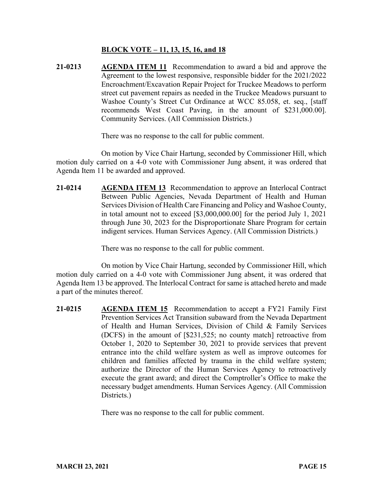## **BLOCK VOTE – 11, 13, 15, 16, and 18**

**21-0213 AGENDA ITEM 11** Recommendation to award a bid and approve the Agreement to the lowest responsive, responsible bidder for the 2021/2022 Encroachment/Excavation Repair Project for Truckee Meadows to perform street cut pavement repairs as needed in the Truckee Meadows pursuant to Washoe County's Street Cut Ordinance at WCC 85.058, et. seq., [staff recommends West Coast Paving, in the amount of \$231,000.00]. Community Services. (All Commission Districts.)

There was no response to the call for public comment.

On motion by Vice Chair Hartung, seconded by Commissioner Hill, which motion duly carried on a 4-0 vote with Commissioner Jung absent, it was ordered that Agenda Item 11 be awarded and approved.

**21-0214 AGENDA ITEM 13** Recommendation to approve an Interlocal Contract Between Public Agencies, Nevada Department of Health and Human Services Division of Health Care Financing and Policy and Washoe County, in total amount not to exceed [\$3,000,000.00] for the period July 1, 2021 through June 30, 2023 for the Disproportionate Share Program for certain indigent services. Human Services Agency. (All Commission Districts.)

There was no response to the call for public comment.

On motion by Vice Chair Hartung, seconded by Commissioner Hill, which motion duly carried on a 4-0 vote with Commissioner Jung absent, it was ordered that Agenda Item 13 be approved. The Interlocal Contract for same is attached hereto and made a part of the minutes thereof.

**21-0215 AGENDA ITEM 15** Recommendation to accept a FY21 Family First Prevention Services Act Transition subaward from the Nevada Department of Health and Human Services, Division of Child & Family Services (DCFS) in the amount of [\$231,525; no county match] retroactive from October 1, 2020 to September 30, 2021 to provide services that prevent entrance into the child welfare system as well as improve outcomes for children and families affected by trauma in the child welfare system; authorize the Director of the Human Services Agency to retroactively execute the grant award; and direct the Comptroller's Office to make the necessary budget amendments. Human Services Agency. (All Commission Districts.)

There was no response to the call for public comment.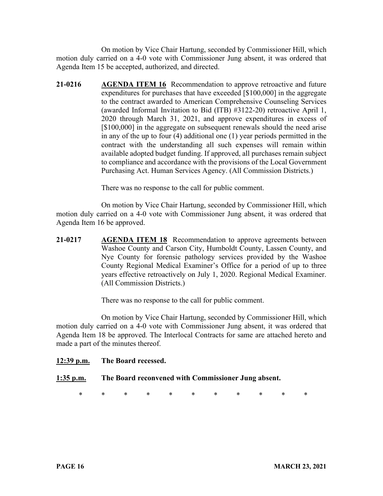On motion by Vice Chair Hartung, seconded by Commissioner Hill, which motion duly carried on a 4-0 vote with Commissioner Jung absent, it was ordered that Agenda Item 15 be accepted, authorized, and directed.

**21-0216 AGENDA ITEM 16** Recommendation to approve retroactive and future expenditures for purchases that have exceeded [\$100,000] in the aggregate to the contract awarded to American Comprehensive Counseling Services (awarded Informal Invitation to Bid (ITB) #3122-20) retroactive April 1, 2020 through March 31, 2021, and approve expenditures in excess of [ $$100,000$ ] in the aggregate on subsequent renewals should the need arise in any of the up to four (4) additional one (1) year periods permitted in the contract with the understanding all such expenses will remain within available adopted budget funding. If approved, all purchases remain subject to compliance and accordance with the provisions of the Local Government Purchasing Act. Human Services Agency. (All Commission Districts.)

There was no response to the call for public comment.

On motion by Vice Chair Hartung, seconded by Commissioner Hill, which motion duly carried on a 4-0 vote with Commissioner Jung absent, it was ordered that Agenda Item 16 be approved.

**21-0217 AGENDA ITEM 18** Recommendation to approve agreements between Washoe County and Carson City, Humboldt County, Lassen County, and Nye County for forensic pathology services provided by the Washoe County Regional Medical Examiner's Office for a period of up to three years effective retroactively on July 1, 2020. Regional Medical Examiner. (All Commission Districts.)

There was no response to the call for public comment.

On motion by Vice Chair Hartung, seconded by Commissioner Hill, which motion duly carried on a 4-0 vote with Commissioner Jung absent, it was ordered that Agenda Item 18 be approved. The Interlocal Contracts for same are attached hereto and made a part of the minutes thereof.

## **12:39 p.m. The Board recessed.**

## **1:35 p.m. The Board reconvened with Commissioner Jung absent.**

\* \* \* \* \* \* \* \* \* \* \*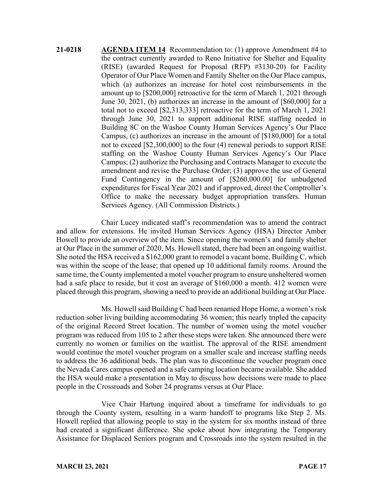**21-0218 AGENDA ITEM 14** Recommendation to: (1) approve Amendment #4 to the contract currently awarded to Reno Initiative for Shelter and Equality (RISE) (awarded Request for Proposal (RFP) #3130-20) for Facility Operator of Our Place Women and Family Shelter on the Our Place campus, which (a) authorizes an increase for hotel cost reimbursements in the amount up to [\$200,000] retroactive for the term of March 1, 2021 through June 30, 2021, (b) authorizes an increase in the amount of [\$60,000] for a total not to exceed [\$2,313,333] retroactive for the term of March 1, 2021 through June 30, 2021 to support additional RISE staffing needed in Building 8C on the Washoe County Human Services Agency's Our Place Campus, (c) authorizes an increase in the amount of [\$180,000] for a total not to exceed [\$2,300,000] to the four (4) renewal periods to support RISE staffing on the Washoe County Human Services Agency's Our Place Campus; (2) authorize the Purchasing and Contracts Manager to execute the amendment and revise the Purchase Order; (3) approve the use of General Fund Contingency in the amount of [\$260,000.00] for unbudgeted expenditures for Fiscal Year 2021 and if approved, direct the Comptroller's Office to make the necessary budget appropriation transfers. Human Services Agency. (All Commission Districts.)

Chair Lucey indicated staff's recommendation was to amend the contract and allow for extensions. He invited Human Services Agency (HSA) Director Amber Howell to provide an overview of the item. Since opening the women's and family shelter at Our Place in the summer of 2020, Ms. Howell stated, there had been an ongoing waitlist. She noted the HSA received a \$162,000 grant to remodel a vacant home, Building C, which was within the scope of the lease; that opened up 10 additional family rooms. Around the same time, the County implemented a motel voucher program to ensure unsheltered women had a safe place to reside, but it cost an average of \$160,000 a month. 412 women were placed through this program, showing a need to provide an additional building at Our Place.

Ms. Howell said Building C had been renamed Hope Home, a women's risk reduction sober living building accommodating 36 women; this nearly tripled the capacity of the original Record Street location. The number of women using the motel voucher program was reduced from 105 to 2 after these steps were taken. She announced there were currently no women or families on the waitlist. The approval of the RISE amendment would continue the motel voucher program on a smaller scale and increase staffing needs to address the 36 additional beds. The plan was to discontinue the voucher program once the Nevada Cares campus opened and a safe camping location became available. She added the HSA would make a presentation in May to discuss how decisions were made to place people in the Crossroads and Sober 24 programs versus at Our Place.

Vice Chair Hartung inquired about a timeframe for individuals to go through the County system, resulting in a warm handoff to programs like Step 2. Ms. Howell replied that allowing people to stay in the system for six months instead of three had created a significant difference. She spoke about how integrating the Temporary Assistance for Displaced Seniors program and Crossroads into the system resulted in the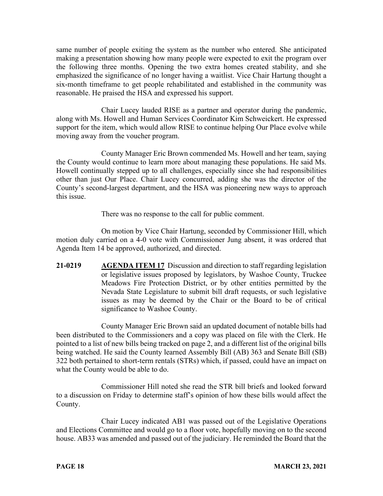same number of people exiting the system as the number who entered. She anticipated making a presentation showing how many people were expected to exit the program over the following three months. Opening the two extra homes created stability, and she emphasized the significance of no longer having a waitlist. Vice Chair Hartung thought a six-month timeframe to get people rehabilitated and established in the community was reasonable. He praised the HSA and expressed his support.

Chair Lucey lauded RISE as a partner and operator during the pandemic, along with Ms. Howell and Human Services Coordinator Kim Schweickert. He expressed support for the item, which would allow RISE to continue helping Our Place evolve while moving away from the voucher program.

County Manager Eric Brown commended Ms. Howell and her team, saying the County would continue to learn more about managing these populations. He said Ms. Howell continually stepped up to all challenges, especially since she had responsibilities other than just Our Place. Chair Lucey concurred, adding she was the director of the County's second-largest department, and the HSA was pioneering new ways to approach this issue.

There was no response to the call for public comment.

On motion by Vice Chair Hartung, seconded by Commissioner Hill, which motion duly carried on a 4-0 vote with Commissioner Jung absent, it was ordered that Agenda Item 14 be approved, authorized, and directed.

**21-0219 AGENDA ITEM 17** Discussion and direction to staff regarding legislation or legislative issues proposed by legislators, by Washoe County, Truckee Meadows Fire Protection District, or by other entities permitted by the Nevada State Legislature to submit bill draft requests, or such legislative issues as may be deemed by the Chair or the Board to be of critical significance to Washoe County.

County Manager Eric Brown said an updated document of notable bills had been distributed to the Commissioners and a copy was placed on file with the Clerk. He pointed to a list of new bills being tracked on page 2, and a different list of the original bills being watched. He said the County learned Assembly Bill (AB) 363 and Senate Bill (SB) 322 both pertained to short-term rentals (STRs) which, if passed, could have an impact on what the County would be able to do.

Commissioner Hill noted she read the STR bill briefs and looked forward to a discussion on Friday to determine staff's opinion of how these bills would affect the County.

Chair Lucey indicated AB1 was passed out of the Legislative Operations and Elections Committee and would go to a floor vote, hopefully moving on to the second house. AB33 was amended and passed out of the judiciary. He reminded the Board that the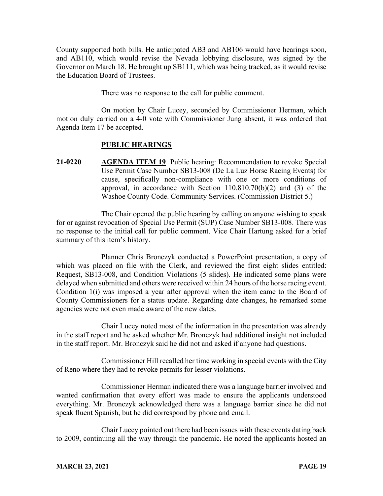County supported both bills. He anticipated AB3 and AB106 would have hearings soon, and AB110, which would revise the Nevada lobbying disclosure, was signed by the Governor on March 18. He brought up SB111, which was being tracked, as it would revise the Education Board of Trustees.

There was no response to the call for public comment.

On motion by Chair Lucey, seconded by Commissioner Herman, which motion duly carried on a 4-0 vote with Commissioner Jung absent, it was ordered that Agenda Item 17 be accepted.

## **PUBLIC HEARINGS**

**21-0220 AGENDA ITEM 19** Public hearing: Recommendation to revoke Special Use Permit Case Number SB13-008 (De La Luz Horse Racing Events) for cause, specifically non-compliance with one or more conditions of approval, in accordance with Section 110.810.70(b)(2) and (3) of the Washoe County Code. Community Services. (Commission District 5.)

The Chair opened the public hearing by calling on anyone wishing to speak for or against revocation of Special Use Permit (SUP) Case Number SB13-008. There was no response to the initial call for public comment. Vice Chair Hartung asked for a brief summary of this item's history.

Planner Chris Bronczyk conducted a PowerPoint presentation, a copy of which was placed on file with the Clerk, and reviewed the first eight slides entitled: Request, SB13-008, and Condition Violations (5 slides). He indicated some plans were delayed when submitted and others were received within 24 hours of the horse racing event. Condition 1(i) was imposed a year after approval when the item came to the Board of County Commissioners for a status update. Regarding date changes, he remarked some agencies were not even made aware of the new dates.

Chair Lucey noted most of the information in the presentation was already in the staff report and he asked whether Mr. Bronczyk had additional insight not included in the staff report. Mr. Bronczyk said he did not and asked if anyone had questions.

Commissioner Hill recalled her time working in special events with the City of Reno where they had to revoke permits for lesser violations.

Commissioner Herman indicated there was a language barrier involved and wanted confirmation that every effort was made to ensure the applicants understood everything. Mr. Bronczyk acknowledged there was a language barrier since he did not speak fluent Spanish, but he did correspond by phone and email.

Chair Lucey pointed out there had been issues with these events dating back to 2009, continuing all the way through the pandemic. He noted the applicants hosted an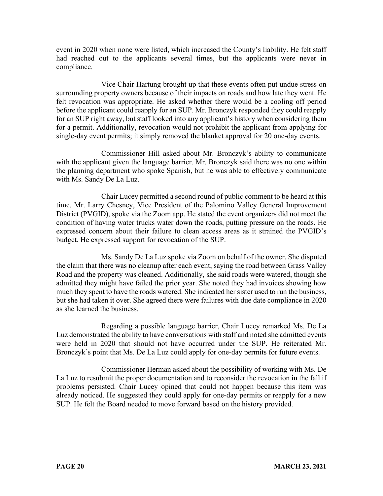event in 2020 when none were listed, which increased the County's liability. He felt staff had reached out to the applicants several times, but the applicants were never in compliance.

Vice Chair Hartung brought up that these events often put undue stress on surrounding property owners because of their impacts on roads and how late they went. He felt revocation was appropriate. He asked whether there would be a cooling off period before the applicant could reapply for an SUP. Mr. Bronczyk responded they could reapply for an SUP right away, but staff looked into any applicant's history when considering them for a permit. Additionally, revocation would not prohibit the applicant from applying for single-day event permits; it simply removed the blanket approval for 20 one-day events.

Commissioner Hill asked about Mr. Bronczyk's ability to communicate with the applicant given the language barrier. Mr. Bronczyk said there was no one within the planning department who spoke Spanish, but he was able to effectively communicate with Ms. Sandy De La Luz.

Chair Lucey permitted a second round of public comment to be heard at this time. Mr. Larry Chesney, Vice President of the Palomino Valley General Improvement District (PVGID), spoke via the Zoom app. He stated the event organizers did not meet the condition of having water trucks water down the roads, putting pressure on the roads. He expressed concern about their failure to clean access areas as it strained the PVGID's budget. He expressed support for revocation of the SUP.

Ms. Sandy De La Luz spoke via Zoom on behalf of the owner. She disputed the claim that there was no cleanup after each event, saying the road between Grass Valley Road and the property was cleaned. Additionally, she said roads were watered, though she admitted they might have failed the prior year. She noted they had invoices showing how much they spent to have the roads watered. She indicated her sister used to run the business, but she had taken it over. She agreed there were failures with due date compliance in 2020 as she learned the business.

Regarding a possible language barrier, Chair Lucey remarked Ms. De La Luz demonstrated the ability to have conversations with staff and noted she admitted events were held in 2020 that should not have occurred under the SUP. He reiterated Mr. Bronczyk's point that Ms. De La Luz could apply for one-day permits for future events.

Commissioner Herman asked about the possibility of working with Ms. De La Luz to resubmit the proper documentation and to reconsider the revocation in the fall if problems persisted. Chair Lucey opined that could not happen because this item was already noticed. He suggested they could apply for one-day permits or reapply for a new SUP. He felt the Board needed to move forward based on the history provided.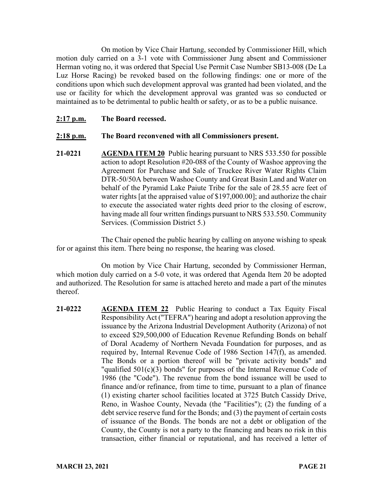On motion by Vice Chair Hartung, seconded by Commissioner Hill, which motion duly carried on a 3-1 vote with Commissioner Jung absent and Commissioner Herman voting no, it was ordered that Special Use Permit Case Number SB13-008 (De La Luz Horse Racing) be revoked based on the following findings: one or more of the conditions upon which such development approval was granted had been violated, and the use or facility for which the development approval was granted was so conducted or maintained as to be detrimental to public health or safety, or as to be a public nuisance.

#### **2:17 p.m. The Board recessed.**

#### **2:18 p.m. The Board reconvened with all Commissioners present.**

**21-0221 AGENDA ITEM 20** Public hearing pursuant to NRS 533.550 for possible action to adopt Resolution #20-088 of the County of Washoe approving the Agreement for Purchase and Sale of Truckee River Water Rights Claim DTR-50/50A between Washoe County and Great Basin Land and Water on behalf of the Pyramid Lake Paiute Tribe for the sale of 28.55 acre feet of water rights [at the appraised value of \$197,000.00]; and authorize the chair to execute the associated water rights deed prior to the closing of escrow, having made all four written findings pursuant to NRS 533.550. Community Services. (Commission District 5.)

The Chair opened the public hearing by calling on anyone wishing to speak for or against this item. There being no response, the hearing was closed.

On motion by Vice Chair Hartung, seconded by Commissioner Herman, which motion duly carried on a 5-0 vote, it was ordered that Agenda Item 20 be adopted and authorized. The Resolution for same is attached hereto and made a part of the minutes thereof.

21-0222 **AGENDA ITEM 22** Public Hearing to conduct a Tax Equity Fiscal Responsibility Act ("TEFRA") hearing and adopt a resolution approving the issuance by the Arizona Industrial Development Authority (Arizona) of not to exceed \$29,500,000 of Education Revenue Refunding Bonds on behalf of Doral Academy of Northern Nevada Foundation for purposes, and as required by, Internal Revenue Code of 1986 Section 147(f), as amended. The Bonds or a portion thereof will be "private activity bonds" and "qualified 501(c)(3) bonds" for purposes of the Internal Revenue Code of 1986 (the "Code"). The revenue from the bond issuance will be used to finance and/or refinance, from time to time, pursuant to a plan of finance (1) existing charter school facilities located at 3725 Butch Cassidy Drive, Reno, in Washoe County, Nevada (the "Facilities"); (2) the funding of a debt service reserve fund for the Bonds; and (3) the payment of certain costs of issuance of the Bonds. The bonds are not a debt or obligation of the County, the County is not a party to the financing and bears no risk in this transaction, either financial or reputational, and has received a letter of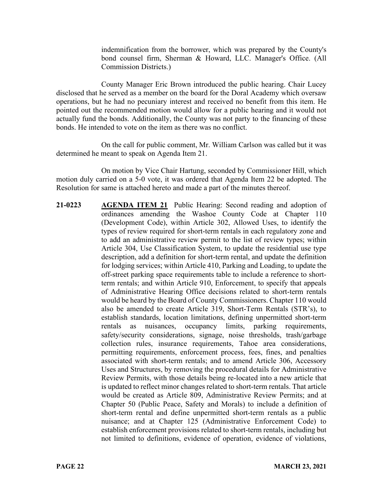indemnification from the borrower, which was prepared by the County's bond counsel firm, Sherman & Howard, LLC. Manager's Office. (All Commission Districts.)

County Manager Eric Brown introduced the public hearing. Chair Lucey disclosed that he served as a member on the board for the Doral Academy which oversaw operations, but he had no pecuniary interest and received no benefit from this item. He pointed out the recommended motion would allow for a public hearing and it would not actually fund the bonds. Additionally, the County was not party to the financing of these bonds. He intended to vote on the item as there was no conflict.

On the call for public comment, Mr. William Carlson was called but it was determined he meant to speak on Agenda Item 21.

On motion by Vice Chair Hartung, seconded by Commissioner Hill, which motion duly carried on a 5-0 vote, it was ordered that Agenda Item 22 be adopted. The Resolution for same is attached hereto and made a part of the minutes thereof.

**21-0223 AGENDA ITEM 21** Public Hearing: Second reading and adoption of ordinances amending the Washoe County Code at Chapter 110 (Development Code), within Article 302, Allowed Uses, to identify the types of review required for short-term rentals in each regulatory zone and to add an administrative review permit to the list of review types; within Article 304, Use Classification System, to update the residential use type description, add a definition for short-term rental, and update the definition for lodging services; within Article 410, Parking and Loading, to update the off-street parking space requirements table to include a reference to shortterm rentals; and within Article 910, Enforcement, to specify that appeals of Administrative Hearing Office decisions related to short-term rentals would be heard by the Board of County Commissioners. Chapter 110 would also be amended to create Article 319, Short-Term Rentals (STR's), to establish standards, location limitations, defining unpermitted short-term rentals as nuisances, occupancy limits, parking requirements, safety/security considerations, signage, noise thresholds, trash/garbage collection rules, insurance requirements, Tahoe area considerations, permitting requirements, enforcement process, fees, fines, and penalties associated with short-term rentals; and to amend Article 306, Accessory Uses and Structures, by removing the procedural details for Administrative Review Permits, with those details being re-located into a new article that is updated to reflect minor changes related to short-term rentals. That article would be created as Article 809, Administrative Review Permits; and at Chapter 50 (Public Peace, Safety and Morals) to include a definition of short-term rental and define unpermitted short-term rentals as a public nuisance; and at Chapter 125 (Administrative Enforcement Code) to establish enforcement provisions related to short-term rentals, including but not limited to definitions, evidence of operation, evidence of violations,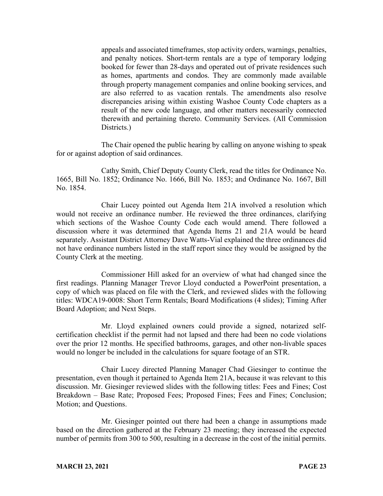appeals and associated timeframes, stop activity orders, warnings, penalties, and penalty notices. Short-term rentals are a type of temporary lodging booked for fewer than 28-days and operated out of private residences such as homes, apartments and condos. They are commonly made available through property management companies and online booking services, and are also referred to as vacation rentals. The amendments also resolve discrepancies arising within existing Washoe County Code chapters as a result of the new code language, and other matters necessarily connected therewith and pertaining thereto. Community Services. (All Commission Districts.)

The Chair opened the public hearing by calling on anyone wishing to speak for or against adoption of said ordinances.

Cathy Smith, Chief Deputy County Clerk, read the titles for Ordinance No. 1665, Bill No. 1852; Ordinance No. 1666, Bill No. 1853; and Ordinance No. 1667, Bill No. 1854.

Chair Lucey pointed out Agenda Item 21A involved a resolution which would not receive an ordinance number. He reviewed the three ordinances, clarifying which sections of the Washoe County Code each would amend. There followed a discussion where it was determined that Agenda Items 21 and 21A would be heard separately. Assistant District Attorney Dave Watts-Vial explained the three ordinances did not have ordinance numbers listed in the staff report since they would be assigned by the County Clerk at the meeting.

Commissioner Hill asked for an overview of what had changed since the first readings. Planning Manager Trevor Lloyd conducted a PowerPoint presentation, a copy of which was placed on file with the Clerk, and reviewed slides with the following titles: WDCA19-0008: Short Term Rentals; Board Modifications (4 slides); Timing After Board Adoption; and Next Steps.

Mr. Lloyd explained owners could provide a signed, notarized selfcertification checklist if the permit had not lapsed and there had been no code violations over the prior 12 months. He specified bathrooms, garages, and other non-livable spaces would no longer be included in the calculations for square footage of an STR.

Chair Lucey directed Planning Manager Chad Giesinger to continue the presentation, even though it pertained to Agenda Item 21A, because it was relevant to this discussion. Mr. Giesinger reviewed slides with the following titles: Fees and Fines; Cost Breakdown – Base Rate; Proposed Fees; Proposed Fines; Fees and Fines; Conclusion; Motion; and Questions.

Mr. Giesinger pointed out there had been a change in assumptions made based on the direction gathered at the February 23 meeting; they increased the expected number of permits from 300 to 500, resulting in a decrease in the cost of the initial permits.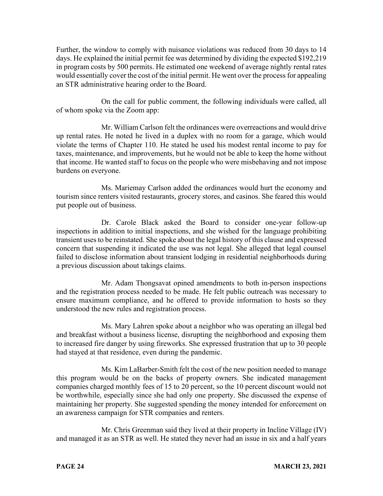Further, the window to comply with nuisance violations was reduced from 30 days to 14 days. He explained the initial permit fee was determined by dividing the expected \$192,219 in program costs by 500 permits. He estimated one weekend of average nightly rental rates would essentially cover the cost of the initial permit. He went over the process for appealing an STR administrative hearing order to the Board.

On the call for public comment, the following individuals were called, all of whom spoke via the Zoom app:

Mr. William Carlson felt the ordinances were overreactions and would drive up rental rates. He noted he lived in a duplex with no room for a garage, which would violate the terms of Chapter 110. He stated he used his modest rental income to pay for taxes, maintenance, and improvements, but he would not be able to keep the home without that income. He wanted staff to focus on the people who were misbehaving and not impose burdens on everyone.

Ms. Mariemay Carlson added the ordinances would hurt the economy and tourism since renters visited restaurants, grocery stores, and casinos. She feared this would put people out of business.

Dr. Carole Black asked the Board to consider one-year follow-up inspections in addition to initial inspections, and she wished for the language prohibiting transient uses to be reinstated. She spoke about the legal history of this clause and expressed concern that suspending it indicated the use was not legal. She alleged that legal counsel failed to disclose information about transient lodging in residential neighborhoods during a previous discussion about takings claims.

Mr. Adam Thongsavat opined amendments to both in-person inspections and the registration process needed to be made. He felt public outreach was necessary to ensure maximum compliance, and he offered to provide information to hosts so they understood the new rules and registration process.

Ms. Mary Lahren spoke about a neighbor who was operating an illegal bed and breakfast without a business license, disrupting the neighborhood and exposing them to increased fire danger by using fireworks. She expressed frustration that up to 30 people had stayed at that residence, even during the pandemic.

Ms. Kim LaBarber-Smith felt the cost of the new position needed to manage this program would be on the backs of property owners. She indicated management companies charged monthly fees of 15 to 20 percent, so the 10 percent discount would not be worthwhile, especially since she had only one property. She discussed the expense of maintaining her property. She suggested spending the money intended for enforcement on an awareness campaign for STR companies and renters.

Mr. Chris Greenman said they lived at their property in Incline Village (IV) and managed it as an STR as well. He stated they never had an issue in six and a half years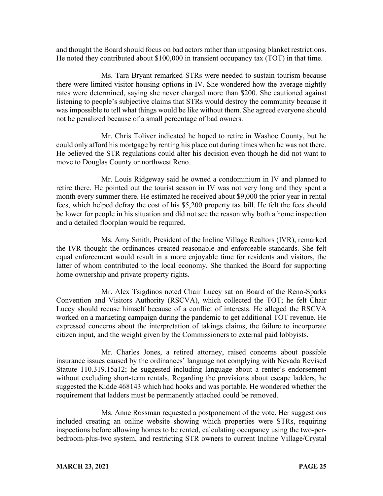and thought the Board should focus on bad actors rather than imposing blanket restrictions. He noted they contributed about \$100,000 in transient occupancy tax (TOT) in that time.

Ms. Tara Bryant remarked STRs were needed to sustain tourism because there were limited visitor housing options in IV. She wondered how the average nightly rates were determined, saying she never charged more than \$200. She cautioned against listening to people's subjective claims that STRs would destroy the community because it was impossible to tell what things would be like without them. She agreed everyone should not be penalized because of a small percentage of bad owners.

Mr. Chris Toliver indicated he hoped to retire in Washoe County, but he could only afford his mortgage by renting his place out during times when he was not there. He believed the STR regulations could alter his decision even though he did not want to move to Douglas County or northwest Reno.

Mr. Louis Ridgeway said he owned a condominium in IV and planned to retire there. He pointed out the tourist season in IV was not very long and they spent a month every summer there. He estimated he received about \$9,000 the prior year in rental fees, which helped defray the cost of his \$5,200 property tax bill. He felt the fees should be lower for people in his situation and did not see the reason why both a home inspection and a detailed floorplan would be required.

Ms. Amy Smith, President of the Incline Village Realtors (IVR), remarked the IVR thought the ordinances created reasonable and enforceable standards. She felt equal enforcement would result in a more enjoyable time for residents and visitors, the latter of whom contributed to the local economy. She thanked the Board for supporting home ownership and private property rights.

Mr. Alex Tsigdinos noted Chair Lucey sat on Board of the Reno-Sparks Convention and Visitors Authority (RSCVA), which collected the TOT; he felt Chair Lucey should recuse himself because of a conflict of interests. He alleged the RSCVA worked on a marketing campaign during the pandemic to get additional TOT revenue. He expressed concerns about the interpretation of takings claims, the failure to incorporate citizen input, and the weight given by the Commissioners to external paid lobbyists.

Mr. Charles Jones, a retired attorney, raised concerns about possible insurance issues caused by the ordinances' language not complying with Nevada Revised Statute 110.319.15a12; he suggested including language about a renter's endorsement without excluding short-term rentals. Regarding the provisions about escape ladders, he suggested the Kidde 468143 which had hooks and was portable. He wondered whether the requirement that ladders must be permanently attached could be removed.

Ms. Anne Rossman requested a postponement of the vote. Her suggestions included creating an online website showing which properties were STRs, requiring inspections before allowing homes to be rented, calculating occupancy using the two-perbedroom-plus-two system, and restricting STR owners to current Incline Village/Crystal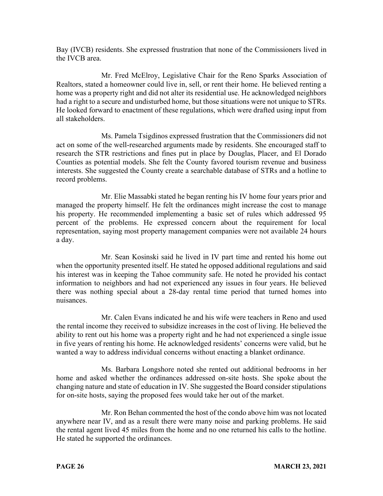Bay (IVCB) residents. She expressed frustration that none of the Commissioners lived in the IVCB area.

Mr. Fred McElroy, Legislative Chair for the Reno Sparks Association of Realtors, stated a homeowner could live in, sell, or rent their home. He believed renting a home was a property right and did not alter its residential use. He acknowledged neighbors had a right to a secure and undisturbed home, but those situations were not unique to STRs. He looked forward to enactment of these regulations, which were drafted using input from all stakeholders.

Ms. Pamela Tsigdinos expressed frustration that the Commissioners did not act on some of the well-researched arguments made by residents. She encouraged staff to research the STR restrictions and fines put in place by Douglas, Placer, and El Dorado Counties as potential models. She felt the County favored tourism revenue and business interests. She suggested the County create a searchable database of STRs and a hotline to record problems.

Mr. Elie Massabki stated he began renting his IV home four years prior and managed the property himself. He felt the ordinances might increase the cost to manage his property. He recommended implementing a basic set of rules which addressed 95 percent of the problems. He expressed concern about the requirement for local representation, saying most property management companies were not available 24 hours a day.

Mr. Sean Kosinski said he lived in IV part time and rented his home out when the opportunity presented itself. He stated he opposed additional regulations and said his interest was in keeping the Tahoe community safe. He noted he provided his contact information to neighbors and had not experienced any issues in four years. He believed there was nothing special about a 28-day rental time period that turned homes into nuisances.

Mr. Calen Evans indicated he and his wife were teachers in Reno and used the rental income they received to subsidize increases in the cost of living. He believed the ability to rent out his home was a property right and he had not experienced a single issue in five years of renting his home. He acknowledged residents' concerns were valid, but he wanted a way to address individual concerns without enacting a blanket ordinance.

Ms. Barbara Longshore noted she rented out additional bedrooms in her home and asked whether the ordinances addressed on-site hosts. She spoke about the changing nature and state of education in IV. She suggested the Board consider stipulations for on-site hosts, saying the proposed fees would take her out of the market.

Mr. Ron Behan commented the host of the condo above him was not located anywhere near IV, and as a result there were many noise and parking problems. He said the rental agent lived 45 miles from the home and no one returned his calls to the hotline. He stated he supported the ordinances.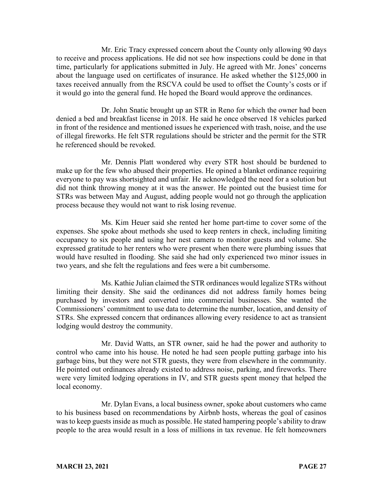Mr. Eric Tracy expressed concern about the County only allowing 90 days to receive and process applications. He did not see how inspections could be done in that time, particularly for applications submitted in July. He agreed with Mr. Jones' concerns about the language used on certificates of insurance. He asked whether the \$125,000 in taxes received annually from the RSCVA could be used to offset the County's costs or if it would go into the general fund. He hoped the Board would approve the ordinances.

Dr. John Snatic brought up an STR in Reno for which the owner had been denied a bed and breakfast license in 2018. He said he once observed 18 vehicles parked in front of the residence and mentioned issues he experienced with trash, noise, and the use of illegal fireworks. He felt STR regulations should be stricter and the permit for the STR he referenced should be revoked.

Mr. Dennis Platt wondered why every STR host should be burdened to make up for the few who abused their properties. He opined a blanket ordinance requiring everyone to pay was shortsighted and unfair. He acknowledged the need for a solution but did not think throwing money at it was the answer. He pointed out the busiest time for STRs was between May and August, adding people would not go through the application process because they would not want to risk losing revenue.

Ms. Kim Heuer said she rented her home part-time to cover some of the expenses. She spoke about methods she used to keep renters in check, including limiting occupancy to six people and using her nest camera to monitor guests and volume. She expressed gratitude to her renters who were present when there were plumbing issues that would have resulted in flooding. She said she had only experienced two minor issues in two years, and she felt the regulations and fees were a bit cumbersome.

Ms. Kathie Julian claimed the STR ordinances would legalize STRs without limiting their density. She said the ordinances did not address family homes being purchased by investors and converted into commercial businesses. She wanted the Commissioners' commitment to use data to determine the number, location, and density of STRs. She expressed concern that ordinances allowing every residence to act as transient lodging would destroy the community.

Mr. David Watts, an STR owner, said he had the power and authority to control who came into his house. He noted he had seen people putting garbage into his garbage bins, but they were not STR guests, they were from elsewhere in the community. He pointed out ordinances already existed to address noise, parking, and fireworks. There were very limited lodging operations in IV, and STR guests spent money that helped the local economy.

Mr. Dylan Evans, a local business owner, spoke about customers who came to his business based on recommendations by Airbnb hosts, whereas the goal of casinos was to keep guests inside as much as possible. He stated hampering people's ability to draw people to the area would result in a loss of millions in tax revenue. He felt homeowners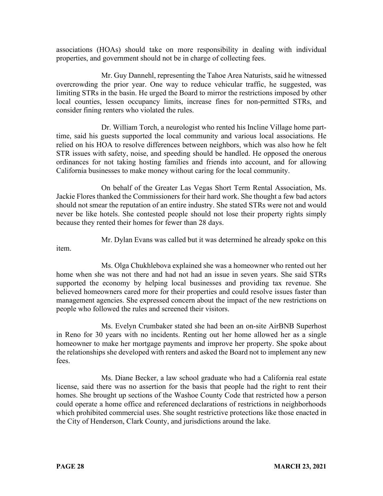associations (HOAs) should take on more responsibility in dealing with individual properties, and government should not be in charge of collecting fees.

Mr. Guy Dannehl, representing the Tahoe Area Naturists, said he witnessed overcrowding the prior year. One way to reduce vehicular traffic, he suggested, was limiting STRs in the basin. He urged the Board to mirror the restrictions imposed by other local counties, lessen occupancy limits, increase fines for non-permitted STRs, and consider fining renters who violated the rules.

Dr. William Torch, a neurologist who rented his Incline Village home parttime, said his guests supported the local community and various local associations. He relied on his HOA to resolve differences between neighbors, which was also how he felt STR issues with safety, noise, and speeding should be handled. He opposed the onerous ordinances for not taking hosting families and friends into account, and for allowing California businesses to make money without caring for the local community.

On behalf of the Greater Las Vegas Short Term Rental Association, Ms. Jackie Flores thanked the Commissioners for their hard work. She thought a few bad actors should not smear the reputation of an entire industry. She stated STRs were not and would never be like hotels. She contested people should not lose their property rights simply because they rented their homes for fewer than 28 days.

Mr. Dylan Evans was called but it was determined he already spoke on this

item.

Ms. Olga Chukhlebova explained she was a homeowner who rented out her home when she was not there and had not had an issue in seven years. She said STRs supported the economy by helping local businesses and providing tax revenue. She believed homeowners cared more for their properties and could resolve issues faster than management agencies. She expressed concern about the impact of the new restrictions on people who followed the rules and screened their visitors.

Ms. Evelyn Crumbaker stated she had been an on-site AirBNB Superhost in Reno for 30 years with no incidents. Renting out her home allowed her as a single homeowner to make her mortgage payments and improve her property. She spoke about the relationships she developed with renters and asked the Board not to implement any new fees.

Ms. Diane Becker, a law school graduate who had a California real estate license, said there was no assertion for the basis that people had the right to rent their homes. She brought up sections of the Washoe County Code that restricted how a person could operate a home office and referenced declarations of restrictions in neighborhoods which prohibited commercial uses. She sought restrictive protections like those enacted in the City of Henderson, Clark County, and jurisdictions around the lake.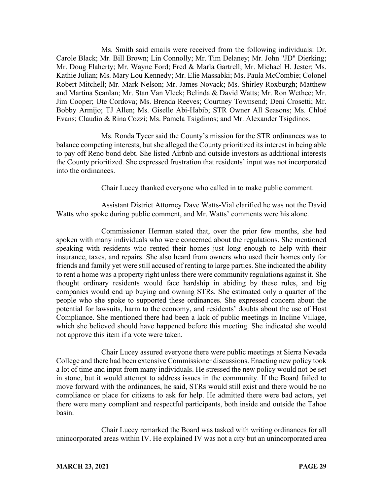Ms. Smith said emails were received from the following individuals: Dr. Carole Black; Mr. Bill Brown; Lin Connolly; Mr. Tim Delaney; Mr. John "JD" Dierking; Mr. Doug Flaherty; Mr. Wayne Ford; Fred & Marla Gartrell; Mr. Michael H. Jester; Ms. Kathie Julian; Ms. Mary Lou Kennedy; Mr. Elie Massabki; Ms. Paula McCombie; Colonel Robert Mitchell; Mr. Mark Nelson; Mr. James Novack; Ms. Shirley Roxburgh; Matthew and Martina Scanlan; Mr. Stan Van Vleck; Belinda & David Watts; Mr. Ron Wethee; Mr. Jim Cooper; Ute Cordova; Ms. Brenda Reeves; Courtney Townsend; Deni Crosetti; Mr. Bobby Armijo; TJ Allen; Ms. Giselle Abi-Habib; STR Owner All Seasons; Ms. Chloé Evans; Claudio & Rina Cozzi; Ms. Pamela Tsigdinos; and Mr. Alexander Tsigdinos.

Ms. Ronda Tycer said the County's mission for the STR ordinances was to balance competing interests, but she alleged the County prioritized its interest in being able to pay off Reno bond debt. She listed Airbnb and outside investors as additional interests the County prioritized. She expressed frustration that residents' input was not incorporated into the ordinances.

Chair Lucey thanked everyone who called in to make public comment.

Assistant District Attorney Dave Watts-Vial clarified he was not the David Watts who spoke during public comment, and Mr. Watts' comments were his alone.

Commissioner Herman stated that, over the prior few months, she had spoken with many individuals who were concerned about the regulations. She mentioned speaking with residents who rented their homes just long enough to help with their insurance, taxes, and repairs. She also heard from owners who used their homes only for friends and family yet were still accused of renting to large parties. She indicated the ability to rent a home was a property right unless there were community regulations against it. She thought ordinary residents would face hardship in abiding by these rules, and big companies would end up buying and owning STRs. She estimated only a quarter of the people who she spoke to supported these ordinances. She expressed concern about the potential for lawsuits, harm to the economy, and residents' doubts about the use of Host Compliance. She mentioned there had been a lack of public meetings in Incline Village, which she believed should have happened before this meeting. She indicated she would not approve this item if a vote were taken.

Chair Lucey assured everyone there were public meetings at Sierra Nevada College and there had been extensive Commissioner discussions. Enacting new policy took a lot of time and input from many individuals. He stressed the new policy would not be set in stone, but it would attempt to address issues in the community. If the Board failed to move forward with the ordinances, he said, STRs would still exist and there would be no compliance or place for citizens to ask for help. He admitted there were bad actors, yet there were many compliant and respectful participants, both inside and outside the Tahoe basin.

Chair Lucey remarked the Board was tasked with writing ordinances for all unincorporated areas within IV. He explained IV was not a city but an unincorporated area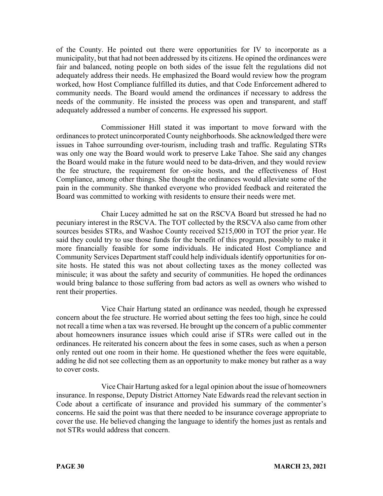of the County. He pointed out there were opportunities for IV to incorporate as a municipality, but that had not been addressed by its citizens. He opined the ordinances were fair and balanced, noting people on both sides of the issue felt the regulations did not adequately address their needs. He emphasized the Board would review how the program worked, how Host Compliance fulfilled its duties, and that Code Enforcement adhered to community needs. The Board would amend the ordinances if necessary to address the needs of the community. He insisted the process was open and transparent, and staff adequately addressed a number of concerns. He expressed his support.

Commissioner Hill stated it was important to move forward with the ordinances to protect unincorporated County neighborhoods. She acknowledged there were issues in Tahoe surrounding over-tourism, including trash and traffic. Regulating STRs was only one way the Board would work to preserve Lake Tahoe. She said any changes the Board would make in the future would need to be data-driven, and they would review the fee structure, the requirement for on-site hosts, and the effectiveness of Host Compliance, among other things. She thought the ordinances would alleviate some of the pain in the community. She thanked everyone who provided feedback and reiterated the Board was committed to working with residents to ensure their needs were met.

Chair Lucey admitted he sat on the RSCVA Board but stressed he had no pecuniary interest in the RSCVA. The TOT collected by the RSCVA also came from other sources besides STRs, and Washoe County received \$215,000 in TOT the prior year. He said they could try to use those funds for the benefit of this program, possibly to make it more financially feasible for some individuals. He indicated Host Compliance and Community Services Department staff could help individuals identify opportunities for onsite hosts. He stated this was not about collecting taxes as the money collected was miniscule; it was about the safety and security of communities. He hoped the ordinances would bring balance to those suffering from bad actors as well as owners who wished to rent their properties.

Vice Chair Hartung stated an ordinance was needed, though he expressed concern about the fee structure. He worried about setting the fees too high, since he could not recall a time when a tax was reversed. He brought up the concern of a public commenter about homeowners insurance issues which could arise if STRs were called out in the ordinances. He reiterated his concern about the fees in some cases, such as when a person only rented out one room in their home. He questioned whether the fees were equitable, adding he did not see collecting them as an opportunity to make money but rather as a way to cover costs.

Vice Chair Hartung asked for a legal opinion about the issue of homeowners insurance. In response, Deputy District Attorney Nate Edwards read the relevant section in Code about a certificate of insurance and provided his summary of the commenter's concerns. He said the point was that there needed to be insurance coverage appropriate to cover the use. He believed changing the language to identify the homes just as rentals and not STRs would address that concern.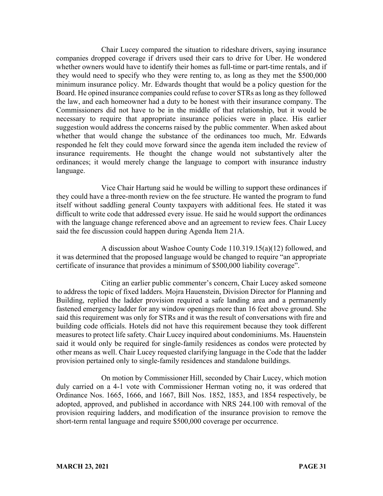Chair Lucey compared the situation to rideshare drivers, saying insurance companies dropped coverage if drivers used their cars to drive for Uber. He wondered whether owners would have to identify their homes as full-time or part-time rentals, and if they would need to specify who they were renting to, as long as they met the \$500,000 minimum insurance policy. Mr. Edwards thought that would be a policy question for the Board. He opined insurance companies could refuse to cover STRs as long as they followed the law, and each homeowner had a duty to be honest with their insurance company. The Commissioners did not have to be in the middle of that relationship, but it would be necessary to require that appropriate insurance policies were in place. His earlier suggestion would address the concerns raised by the public commenter. When asked about whether that would change the substance of the ordinances too much, Mr. Edwards responded he felt they could move forward since the agenda item included the review of insurance requirements. He thought the change would not substantively alter the ordinances; it would merely change the language to comport with insurance industry language.

Vice Chair Hartung said he would be willing to support these ordinances if they could have a three-month review on the fee structure. He wanted the program to fund itself without saddling general County taxpayers with additional fees. He stated it was difficult to write code that addressed every issue. He said he would support the ordinances with the language change referenced above and an agreement to review fees. Chair Lucey said the fee discussion could happen during Agenda Item 21A.

A discussion about Washoe County Code 110.319.15(a)(12) followed, and it was determined that the proposed language would be changed to require "an appropriate certificate of insurance that provides a minimum of \$500,000 liability coverage".

Citing an earlier public commenter's concern, Chair Lucey asked someone to address the topic of fixed ladders. Mojra Hauenstein, Division Director for Planning and Building, replied the ladder provision required a safe landing area and a permanently fastened emergency ladder for any window openings more than 16 feet above ground. She said this requirement was only for STRs and it was the result of conversations with fire and building code officials. Hotels did not have this requirement because they took different measures to protect life safety. Chair Lucey inquired about condominiums. Ms. Hauenstein said it would only be required for single-family residences as condos were protected by other means as well. Chair Lucey requested clarifying language in the Code that the ladder provision pertained only to single-family residences and standalone buildings.

On motion by Commissioner Hill, seconded by Chair Lucey, which motion duly carried on a 4-1 vote with Commissioner Herman voting no, it was ordered that Ordinance Nos. 1665, 1666, and 1667, Bill Nos. 1852, 1853, and 1854 respectively, be adopted, approved, and published in accordance with NRS 244.100 with removal of the provision requiring ladders, and modification of the insurance provision to remove the short-term rental language and require \$500,000 coverage per occurrence.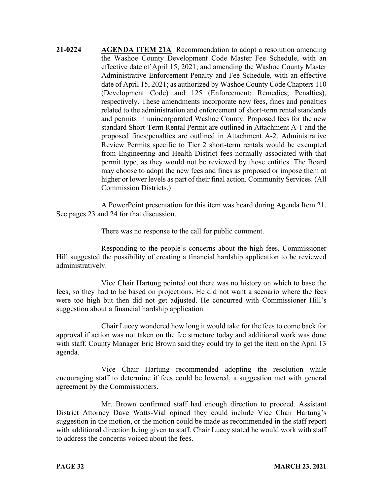**21-0224 AGENDA ITEM 21A** Recommendation to adopt a resolution amending the Washoe County Development Code Master Fee Schedule, with an effective date of April 15, 2021; and amending the Washoe County Master Administrative Enforcement Penalty and Fee Schedule, with an effective date of April 15, 2021; as authorized by Washoe County Code Chapters 110 (Development Code) and 125 (Enforcement; Remedies; Penalties), respectively. These amendments incorporate new fees, fines and penalties related to the administration and enforcement of short-term rental standards and permits in unincorporated Washoe County. Proposed fees for the new standard Short-Term Rental Permit are outlined in Attachment A-1 and the proposed fines/penalties are outlined in Attachment A-2. Administrative Review Permits specific to Tier 2 short-term rentals would be exempted from Engineering and Health District fees normally associated with that permit type, as they would not be reviewed by those entities. The Board may choose to adopt the new fees and fines as proposed or impose them at higher or lower levels as part of their final action. Community Services. (All Commission Districts.)

A PowerPoint presentation for this item was heard during Agenda Item 21. See pages 23 and 24 for that discussion.

There was no response to the call for public comment.

Responding to the people's concerns about the high fees, Commissioner Hill suggested the possibility of creating a financial hardship application to be reviewed administratively.

Vice Chair Hartung pointed out there was no history on which to base the fees, so they had to be based on projections. He did not want a scenario where the fees were too high but then did not get adjusted. He concurred with Commissioner Hill's suggestion about a financial hardship application.

Chair Lucey wondered how long it would take for the fees to come back for approval if action was not taken on the fee structure today and additional work was done with staff. County Manager Eric Brown said they could try to get the item on the April 13 agenda.

Vice Chair Hartung recommended adopting the resolution while encouraging staff to determine if fees could be lowered, a suggestion met with general agreement by the Commissioners.

Mr. Brown confirmed staff had enough direction to proceed. Assistant District Attorney Dave Watts-Vial opined they could include Vice Chair Hartung's suggestion in the motion, or the motion could be made as recommended in the staff report with additional direction being given to staff. Chair Lucey stated he would work with staff to address the concerns voiced about the fees.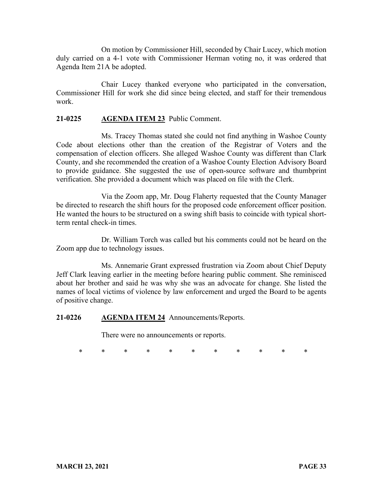On motion by Commissioner Hill, seconded by Chair Lucey, which motion duly carried on a 4-1 vote with Commissioner Herman voting no, it was ordered that Agenda Item 21A be adopted.

Chair Lucey thanked everyone who participated in the conversation, Commissioner Hill for work she did since being elected, and staff for their tremendous work.

## **21-0225 AGENDA ITEM 23** Public Comment.

Ms. Tracey Thomas stated she could not find anything in Washoe County Code about elections other than the creation of the Registrar of Voters and the compensation of election officers. She alleged Washoe County was different than Clark County, and she recommended the creation of a Washoe County Election Advisory Board to provide guidance. She suggested the use of open-source software and thumbprint verification. She provided a document which was placed on file with the Clerk.

Via the Zoom app, Mr. Doug Flaherty requested that the County Manager be directed to research the shift hours for the proposed code enforcement officer position. He wanted the hours to be structured on a swing shift basis to coincide with typical shortterm rental check-in times.

Dr. William Torch was called but his comments could not be heard on the Zoom app due to technology issues.

Ms. Annemarie Grant expressed frustration via Zoom about Chief Deputy Jeff Clark leaving earlier in the meeting before hearing public comment. She reminisced about her brother and said he was why she was an advocate for change. She listed the names of local victims of violence by law enforcement and urged the Board to be agents of positive change.

#### **21-0226 AGENDA ITEM 24** Announcements/Reports.

There were no announcements or reports.

\* \* \* \* \* \* \* \* \* \* \*